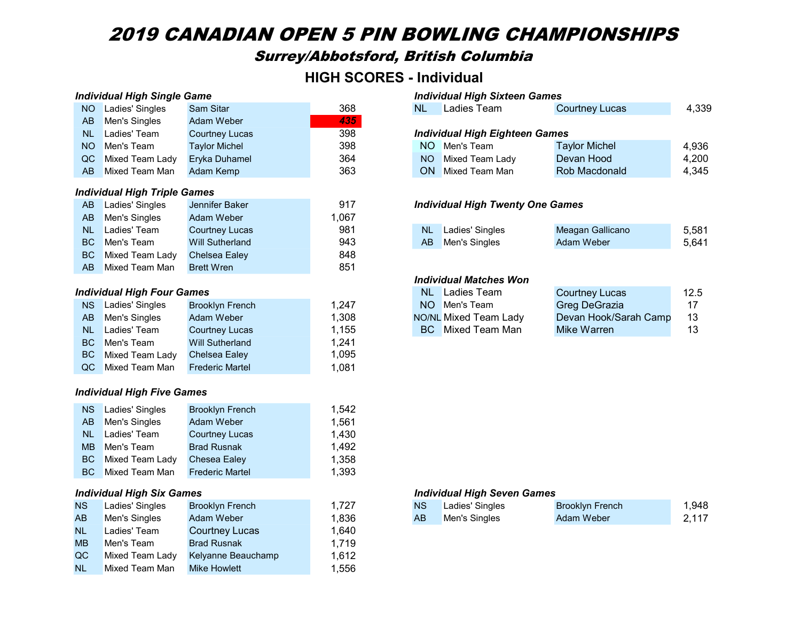# 2019 CANADIAN OPEN 5 PIN BOWLING CHAMPIONSHIPS

# Surrey/Abbotsford, British Columbia

# HIGH SCORES - Individual

| <b>Individual High Single Game</b> |                                     |                        |       | <b>Individual High Sixteen Games</b> |                                         |                       |       |  |
|------------------------------------|-------------------------------------|------------------------|-------|--------------------------------------|-----------------------------------------|-----------------------|-------|--|
| <b>NO</b>                          | Ladies' Singles                     | <b>Sam Sitar</b>       | 368   | <b>NL</b>                            | Ladies Team                             | <b>Courtney Lucas</b> | 4,339 |  |
| AB                                 | Men's Singles                       | Adam Weber             | 435   |                                      |                                         |                       |       |  |
| <b>NL</b>                          | Ladies' Team                        | <b>Courtney Lucas</b>  | 398   |                                      | <b>Individual High Eighteen Games</b>   |                       |       |  |
| <b>NO</b>                          | Men's Team                          | <b>Taylor Michel</b>   | 398   | NO.                                  | Men's Team                              | <b>Taylor Michel</b>  | 4,936 |  |
| QC                                 | Mixed Team Lady                     | Eryka Duhamel          | 364   | <b>NO</b>                            | Mixed Team Lady                         | Devan Hood            | 4,200 |  |
| AB                                 | Mixed Team Man                      | Adam Kemp              | 363   |                                      | <b>ON</b> Mixed Team Man                | Rob Macdonald         | 4,345 |  |
|                                    | <b>Individual High Triple Games</b> |                        |       |                                      |                                         |                       |       |  |
| AB                                 | Ladies' Singles                     | Jennifer Baker         | 917   |                                      | <b>Individual High Twenty One Games</b> |                       |       |  |
| AB                                 | Men's Singles                       | <b>Adam Weber</b>      | 1,067 |                                      |                                         |                       |       |  |
| <b>NL</b>                          | Ladies' Team                        | <b>Courtney Lucas</b>  | 981   | <b>NL</b>                            | Ladies' Singles                         | Meagan Gallicano      | 5,581 |  |
| <b>BC</b>                          | Men's Team                          | <b>Will Sutherland</b> | 943   | AB                                   | Men's Singles                           | Adam Weber            | 5,641 |  |
| <b>BC</b>                          | Mixed Team Lady                     | Chelsea Ealey          | 848   |                                      |                                         |                       |       |  |
| AB                                 | Mixed Team Man                      | <b>Brett Wren</b>      | 851   |                                      |                                         |                       |       |  |
|                                    |                                     |                        |       | <b>Individual Matches Won</b>        |                                         |                       |       |  |
|                                    | <b>Individual High Four Games</b>   |                        |       | NL.                                  | <b>Ladies Team</b>                      | <b>Courtney Lucas</b> | 12.5  |  |
| <b>NS</b>                          | Ladies' Singles                     | <b>Brooklyn French</b> | 1,247 | <b>NO</b>                            | Men's Team                              | Greg DeGrazia         | 17    |  |
| AB                                 | Men's Singles                       | Adam Weber             | 1,308 |                                      | NO/NL Mixed Team Lady                   | Devan Hook/Sarah Camp | 13    |  |
| <b>NL</b>                          | Ladies' Team                        | <b>Courtney Lucas</b>  | 1,155 | BC.                                  | Mixed Team Man                          | Mike Warren           | 13    |  |
| <b>BC</b>                          | Men's Team                          | <b>Will Sutherland</b> | 1,241 |                                      |                                         |                       |       |  |
| <b>BC</b>                          | Mixed Team Lady                     | Chelsea Ealey          | 1,095 |                                      |                                         |                       |       |  |
| QC                                 | Mixed Team Man                      | <b>Frederic Martel</b> | 1,081 |                                      |                                         |                       |       |  |
| <b>Individual High Five Games</b>  |                                     |                        |       |                                      |                                         |                       |       |  |
| <b>NS</b>                          | Ladies' Singles                     | <b>Brooklyn French</b> | 1,542 |                                      |                                         |                       |       |  |
| AB                                 | Men's Singles                       | <b>Adam Weber</b>      | 1,561 |                                      |                                         |                       |       |  |
| <b>NL</b>                          | Ladies' Team                        | <b>Courtney Lucas</b>  | 1,430 |                                      |                                         |                       |       |  |
| <b>MB</b>                          | Men's Team                          | <b>Brad Rusnak</b>     | 1,492 |                                      |                                         |                       |       |  |

#### Individual High Six Games **Individual High Seven Games**

| NS.       | Ladies' Singles | <b>Brooklyn French</b> | 1.727 | <b>NS</b> | Ladies' Singles | <b>Brooklyn French</b> | 1,948 |
|-----------|-----------------|------------------------|-------|-----------|-----------------|------------------------|-------|
| AB.       | Men's Singles   | Adam Weber             | 1,836 | AB        | Men's Singles   | Adam Weber             | 2,117 |
| <b>NL</b> | Ladies' Team    | <b>Courtney Lucas</b>  | 1,640 |           |                 |                        |       |
| <b>MB</b> | Men's Team      | <b>Brad Rusnak</b>     | 1,719 |           |                 |                        |       |
| QC        | Mixed Team Lady | Kelyanne Beauchamp     | 1,612 |           |                 |                        |       |
| <b>NL</b> | Mixed Team Man  | <b>Mike Howlett</b>    | .556  |           |                 |                        |       |

BC Mixed Team Lady Chesea Ealey 1,358 BC Mixed Team Man Frederic Martel 1,393

| NO Ladies' Singles | <b>Sam Sitar</b>      | 368 | <b>NL</b>                             | Ladies Team              | <b>Courtney Lucas</b> | 4,339 |  |
|--------------------|-----------------------|-----|---------------------------------------|--------------------------|-----------------------|-------|--|
| AB Men's Singles   | Adam Weber            | 435 |                                       |                          |                       |       |  |
| NL Ladies' Team    | <b>Courtney Lucas</b> | 398 | <b>Individual High Eighteen Games</b> |                          |                       |       |  |
| NO Men's Team      | <b>Taylor Michel</b>  | 398 |                                       | NO Men's Team            | <b>Taylor Michel</b>  | 4,936 |  |
| QC Mixed Team Lady | Eryka Duhamel         | 364 | NO.                                   | Mixed Team Lady          | Devan Hood            | 4,200 |  |
| AB Mixed Team Man  | Adam Kemp             | 363 |                                       | <b>ON</b> Mixed Team Man | Rob Macdonald         | 4.345 |  |

### **Individual High Twenty One Games**

| NL Ladies' Team      | Courtnev Lucas  | 981 | <b>NL</b> | <b>Ladies' Singles</b> | Meagan Gallicano | 5,581 |
|----------------------|-----------------|-----|-----------|------------------------|------------------|-------|
| <b>BC</b> Men's Team | Will Sutherland | 943 |           | <b>Men's Singles</b>   | Adam Weber       | 5,641 |

#### Individual Matches Won

| <b>NL</b> Ladies Team | <b>Courtney Lucas</b> | 12.5 |
|-----------------------|-----------------------|------|
| NO Men's Team         | Greg DeGrazia         | 17   |
| NO/NL Mixed Team Lady | Devan Hook/Sarah Camp | 13.  |
| BC Mixed Team Man     | Mike Warren           | 13.  |

| NS I | Ladies' Singles      | <b>Brooklyn French</b> |      | ∡∟adies' Singles     | <b>Brooklyn French</b> | 948, ا |
|------|----------------------|------------------------|------|----------------------|------------------------|--------|
| AB   | <b>Men's Singles</b> | Adam Weber             | ,836 | <b>Men's Singles</b> | Adam Weber             | 2,117  |